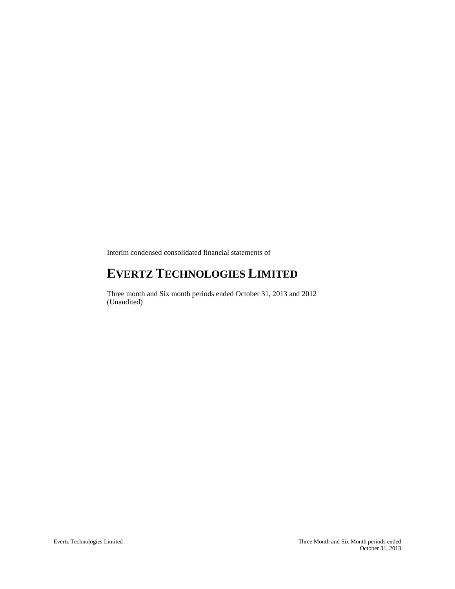Interim condensed consolidated financial statements of

# **EVERTZ TECHNOLOGIES LIMITED**

Three month and Six month periods ended October 31, 2013 and 2012 (Unaudited)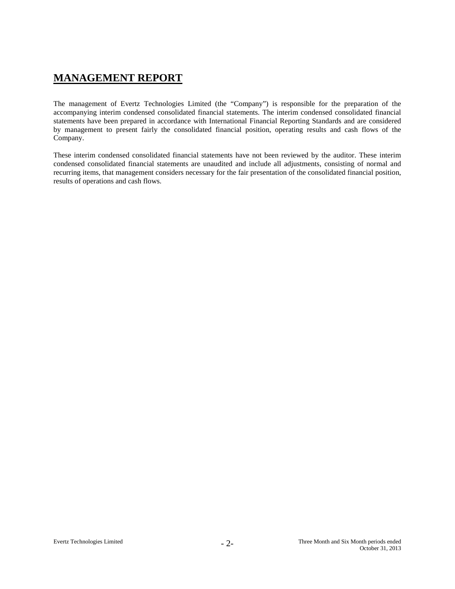# **MANAGEMENT REPORT**

The management of Evertz Technologies Limited (the "Company") is responsible for the preparation of the accompanying interim condensed consolidated financial statements. The interim condensed consolidated financial statements have been prepared in accordance with International Financial Reporting Standards and are considered by management to present fairly the consolidated financial position, operating results and cash flows of the Company.

These interim condensed consolidated financial statements have not been reviewed by the auditor. These interim condensed consolidated financial statements are unaudited and include all adjustments, consisting of normal and recurring items, that management considers necessary for the fair presentation of the consolidated financial position, results of operations and cash flows.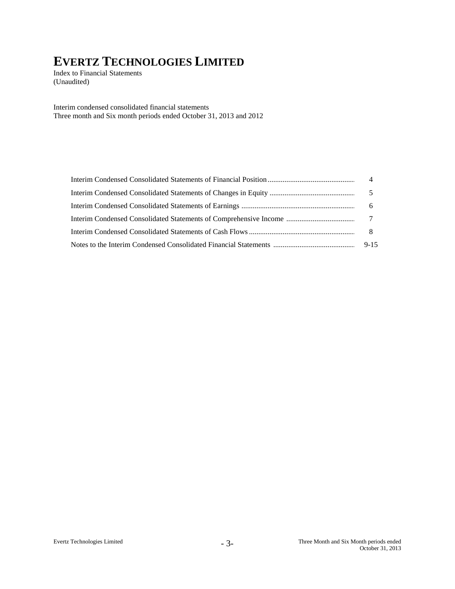Index to Financial Statements (Unaudited)

Interim condensed consolidated financial statements Three month and Six month periods ended October 31, 2013 and 2012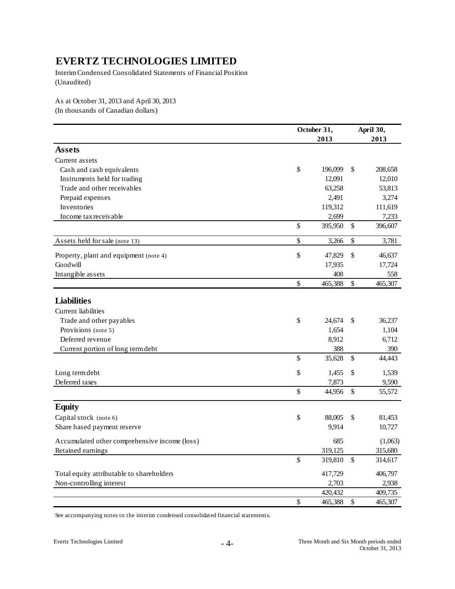Interim Condensed Consolidated Statements of Financial Position (Unaudited)

As at October 31, 2013 and April 30, 2013 (In thousands of Canadian dollars)

|                                               | October 31,<br>2013 |      | April 30,<br>2013 |
|-----------------------------------------------|---------------------|------|-------------------|
| <b>Assets</b>                                 |                     |      |                   |
| Current assets                                |                     |      |                   |
| Cash and cash equivalents                     | \$<br>196,099       | \$   | 208,658           |
| Instruments held for trading                  | 12,091              |      | 12,010            |
| Trade and other receivables                   | 63,258              |      | 53,813            |
| Prepaid expenses                              | 2,491               |      | 3,274             |
| Inventories                                   | 119,312             |      | 111,619           |
| Income tax receivable                         | 2,699               |      | 7,233             |
|                                               | \$<br>395,950       | \$   | 396,607           |
| Assets held for sale (note 13)                | \$<br>3,266         | \$   | 3,781             |
| Property, plant and equipment (note 4)        | \$<br>47,829        | $\$$ | 46,637            |
| Goodwill                                      | 17,935              |      | 17,724            |
| Intangible assets                             | 408                 |      | 558               |
|                                               | \$<br>465,388       | \$   | 465,307           |
| <b>Liabilities</b>                            |                     |      |                   |
| Current liabilities                           |                     |      |                   |
| Trade and other payables                      | \$<br>24,674        | \$   | 36,237            |
| Provisions (note 5)                           | 1,654               |      | 1,104             |
| Deferred revenue                              | 8,912               |      | 6,712             |
| Current portion of long term debt             | 388                 |      | 390               |
|                                               | \$<br>35,628        | \$   | 44,443            |
| Long term debt                                | \$<br>1,455         | \$   | 1,539             |
| Deferred taxes                                | 7,873               |      | 9,590             |
|                                               | \$<br>44,956        | \$   | 55,572            |
| <b>Equity</b>                                 |                     |      |                   |
| Capital stock (note 6)                        | \$<br>88,005        | \$   | 81,453            |
| Share based payment reserve                   | 9,914               |      | 10,727            |
| Accumulated other comprehensive income (loss) | 685                 |      | (1,063)           |
| Retained earnings                             | 319,125             |      | 315,680           |
|                                               | \$<br>319,810       | \$   | 314,617           |
| Total equity attributable to shareholders     | 417,729             |      | 406,797           |
| Non-controlling interest                      | 2,703               |      | 2,938             |
|                                               | 420,432             |      | 409,735           |
|                                               | \$<br>465,388       | \$   | 465,307           |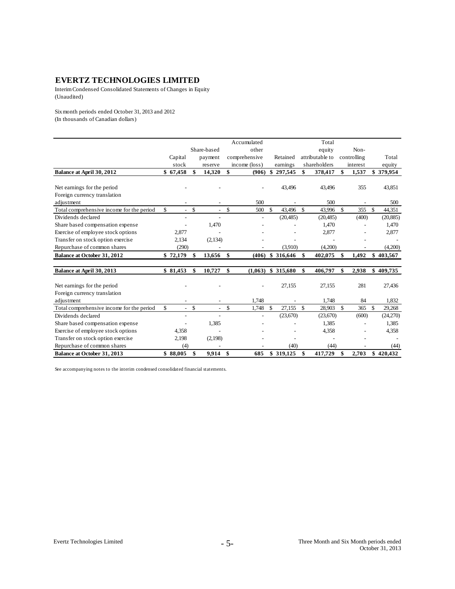Interim Condensed Consolidated Statements of Changes in Equity (Unaudited)

Six month periods ended October 31, 2013 and 2012 (In thousands of Canadian dollars)

|                                           |                      |              |                          | Accumulated   |               |                      | Total           |               |             |              |           |
|-------------------------------------------|----------------------|--------------|--------------------------|---------------|---------------|----------------------|-----------------|---------------|-------------|--------------|-----------|
|                                           |                      |              | Share-based              | other         |               |                      | equity          |               | Non-        |              |           |
|                                           | Capital              |              | payment                  | comprehensive |               | Retained             | attributable to |               | controlling |              | Total     |
|                                           | stock                |              | reserve                  | income (loss) |               | earnings             | shareholders    |               | interest    |              | equity    |
| Balance at April 30, 2012                 | \$67,458             | \$           | 14,320                   | \$<br>(906)   | \$            | 297,545              | \$<br>378,417   | \$            | 1,537       |              | \$379,954 |
|                                           |                      |              |                          |               |               |                      |                 |               |             |              |           |
| Net earnings for the period               |                      |              |                          |               |               | 43,496               | 43,496          |               | 355         |              | 43,851    |
| Foreign currency translation              |                      |              |                          |               |               |                      |                 |               |             |              |           |
| adjustment                                |                      |              |                          | 500           |               |                      | 500             |               |             |              | 500       |
| Total comprehensive income for the period | \$.<br>$\sim$        | $\mathbb{S}$ | $\overline{\phantom{a}}$ | \$<br>500     | $\mathcal{S}$ | 43,496               | \$<br>43.996    | $\mathcal{S}$ | 355         | $\mathbb{S}$ | 44,351    |
| Dividends declared                        |                      |              |                          |               |               | (20, 485)            | (20, 485)       |               | (400)       |              | (20, 885) |
| Share based compensation expense          |                      |              | 1,470                    |               |               |                      | 1,470           |               |             |              | 1,470     |
| Exercise of employee stock options        | 2,877                |              |                          |               |               |                      | 2,877           |               |             |              | 2,877     |
| Transfer on stock option exercise         | 2,134                |              | (2,134)                  |               |               |                      |                 |               |             |              |           |
| Repurchase of common shares               | (290)                |              |                          |               |               | (3,910)              | (4,200)         |               |             |              | (4,200)   |
| <b>Balance at October 31, 2012</b>        | \$72,179             | \$           | 13.656                   | \$<br>(406)   |               | \$ 316,646           | \$<br>402.075   | \$            | 1.492       |              | \$403,567 |
|                                           |                      |              |                          |               |               |                      |                 |               |             |              |           |
| Balance at April 30, 2013                 | \$81,453             | \$           | 10,727                   | \$            |               | $(1,063)$ \$ 315,680 | \$<br>406,797   | \$            | 2,938       |              | \$409,735 |
|                                           |                      |              |                          |               |               |                      |                 |               |             |              |           |
| Net earnings for the period               |                      |              |                          |               |               | 27,155               | 27,155          |               | 281         |              | 27,436    |
| Foreign currency translation              |                      |              |                          |               |               |                      |                 |               |             |              |           |
| adjustment                                |                      |              |                          | 1,748         |               |                      | 1,748           |               | 84          |              | 1,832     |
| Total comprehensive income for the period | \$<br>$\blacksquare$ | $\mathbb{S}$ | $\overline{\phantom{a}}$ | \$<br>1,748   | <sup>\$</sup> | 27.155               | \$<br>28,903    | \$            | 365         | \$           | 29,268    |
| Dividends declared                        |                      |              | $\overline{a}$           |               |               | (23, 670)            | (23,670)        |               | (600)       |              | (24,270)  |
| Share based compensation expense          |                      |              | 1,385                    |               |               |                      | 1,385           |               |             |              | 1,385     |
| Exercise of employee stock options        | 4,358                |              |                          |               |               |                      | 4,358           |               |             |              | 4,358     |
| Transfer on stock option exercise         | 2,198                |              | (2,198)                  |               |               |                      |                 |               |             |              |           |
| Repurchase of common shares               | (4)                  |              |                          |               |               | (40)                 | (44)            |               |             |              | (44)      |
| Balance at October 31, 2013               | \$88,005             | \$           | 9,914                    | \$<br>685     |               | \$ 319,125           | \$<br>417,729   | \$            | 2,703       |              | \$420,432 |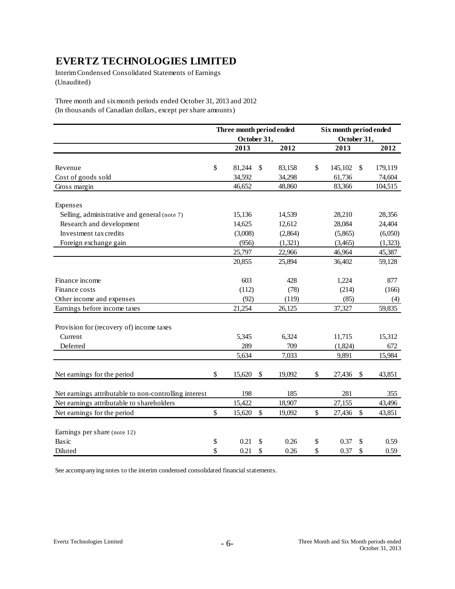Interim Condensed Consolidated Statements of Earnings (Unaudited)

Three month and six month periods ended October 31, 2013 and 2012 (In thousands of Canadian dollars, except per share amounts)

|                                                       | Three month period ended |    |         | Six month period ended |                                     |         |  |
|-------------------------------------------------------|--------------------------|----|---------|------------------------|-------------------------------------|---------|--|
|                                                       | October 31,              |    |         |                        | October 31,                         |         |  |
|                                                       | 2013                     |    | 2012    |                        | 2013                                | 2012    |  |
|                                                       |                          |    |         |                        |                                     |         |  |
| Revenue                                               | \$<br>81,244             | \$ | 83,158  | \$                     | 145,102<br>$\mathbb{S}$             | 179,119 |  |
| Cost of goods sold                                    | 34,592                   |    | 34,298  |                        | 61,736                              | 74,604  |  |
| Gross margin                                          | 46,652                   |    | 48,860  |                        | 83,366                              | 104,515 |  |
| Expenses                                              |                          |    |         |                        |                                     |         |  |
| Selling, administrative and general (note 7)          | 15,136                   |    | 14,539  |                        | 28,210                              | 28,356  |  |
| Research and development                              | 14,625                   |    | 12,612  |                        | 28,084                              | 24,404  |  |
| Investment tax credits                                | (3,008)                  |    | (2,864) |                        | (5,865)                             | (6,050) |  |
| Foreign exchange gain                                 | (956)                    |    | (1,321) |                        | (3,465)                             | (1,323) |  |
|                                                       | 25,797                   |    | 22,966  |                        | 46,964                              | 45,387  |  |
|                                                       | 20,855                   |    | 25,894  |                        | 36,402                              | 59,128  |  |
| Finance income                                        | 603                      |    | 428     |                        | 1,224                               | 877     |  |
| Finance costs                                         | (112)                    |    | (78)    |                        | (214)                               | (166)   |  |
| Other income and expenses                             | (92)                     |    | (119)   |                        | (85)                                | (4)     |  |
| Earnings before income taxes                          | 21,254                   |    | 26,125  |                        | 37,327                              | 59,835  |  |
| Provision for (recovery of) income taxes              |                          |    |         |                        |                                     |         |  |
| Current                                               | 5,345                    |    | 6,324   |                        | 11,715                              | 15,312  |  |
| Deferred                                              | 289                      |    | 709     |                        | (1,824)                             | 672     |  |
|                                                       | 5,634                    |    | 7,033   |                        | 9,891                               | 15,984  |  |
| Net earnings for the period                           | \$<br>15,620             | \$ | 19,092  | \$                     | 27,436<br>\$                        | 43,851  |  |
| Net earnings attributable to non-controlling interest | 198                      |    | 185     |                        | 281                                 | 355     |  |
| Net earnings attributable to shareholders             | 15,422                   |    | 18,907  |                        | 27,155                              | 43,496  |  |
| Net earnings for the period                           | \$<br>15,620             | \$ | 19,092  | \$                     | $\boldsymbol{\mathsf{S}}$<br>27,436 | 43,851  |  |
| Earnings per share (note 12)                          |                          |    |         |                        |                                     |         |  |
| Basic                                                 | \$<br>0.21               | \$ | 0.26    | \$                     | 0.37<br>\$                          | 0.59    |  |
| Diluted                                               | \$<br>0.21               | \$ | 0.26    | \$                     | 0.37<br>\$                          | 0.59    |  |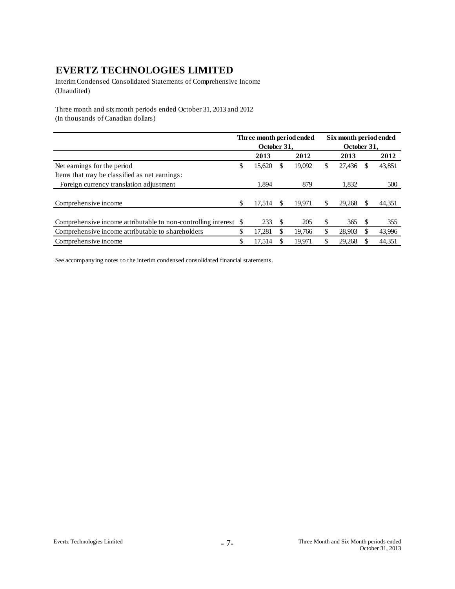Interim Condensed Consolidated Statements of Comprehensive Income (Unaudited)

Three month and six month periods ended October 31, 2013 and 2012 (In thousands of Canadian dollars)

|                                                               | Three month period ended |             |    |        |    | Six month period ended |   |        |
|---------------------------------------------------------------|--------------------------|-------------|----|--------|----|------------------------|---|--------|
|                                                               |                          | October 31. |    |        |    | October 31.            |   |        |
|                                                               |                          | 2013        |    | 2012   |    | 2013                   |   | 2012   |
| Net earnings for the period                                   | \$                       | 15,620      | S  | 19,092 | \$ | 27,436                 | S | 43,851 |
| Items that may be classified as net earnings:                 |                          |             |    |        |    |                        |   |        |
| Foreign currency translation adjustment                       |                          | 1.894       |    | 879    |    | 1,832                  |   | 500    |
|                                                               |                          |             |    |        |    |                        |   |        |
| Comprehensive income                                          | \$                       | 17.514      |    | 19.971 | \$ | 29,268                 |   | 44,351 |
|                                                               |                          |             |    |        |    |                        |   |        |
| Comprehensive income attributable to non-controlling interest | -S                       | 233         | -S | 205    | \$ | 365                    |   | 355    |
| Comprehensive income attributable to shareholders             | \$                       | 17.281      |    | 19.766 | \$ | 28.903                 |   | 43,996 |
| Comprehensive income                                          | \$                       | 17,514      |    | 19.971 | S  | 29,268                 |   | 44,351 |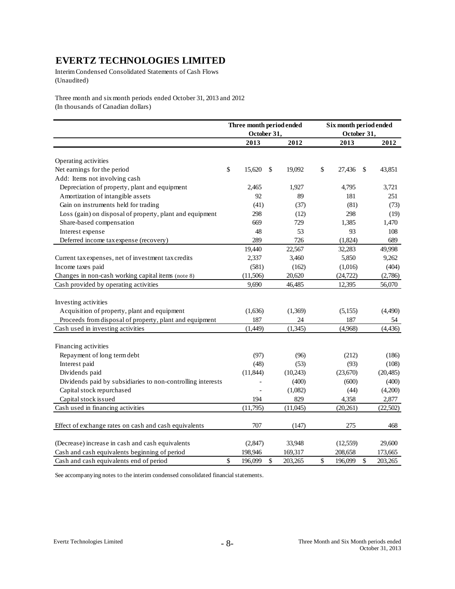Interim Condensed Consolidated Statements of Cash Flows (Unaudited)

Three month and six month periods ended October 31, 2013 and 2012 (In thousands of Canadian dollars)

|                                                             | Three month period ended<br>October 31, |               | Six month period ended<br>October 31, |              |           |  |  |
|-------------------------------------------------------------|-----------------------------------------|---------------|---------------------------------------|--------------|-----------|--|--|
|                                                             | 2013                                    | 2012          | 2013                                  |              | 2012      |  |  |
| Operating activities                                        |                                         |               |                                       |              |           |  |  |
| Net earnings for the period                                 | \$<br>15,620                            | \$<br>19,092  | \$<br>27,436                          | \$           | 43,851    |  |  |
| Add: Items not involving cash                               |                                         |               |                                       |              |           |  |  |
| Depreciation of property, plant and equipment               | 2,465                                   | 1,927         | 4,795                                 |              | 3,721     |  |  |
| Amortization of intangible assets                           | 92                                      | 89            | 181                                   |              | 251       |  |  |
| Gain on instruments held for trading                        | (41)                                    | (37)          | (81)                                  |              | (73)      |  |  |
| Loss (gain) on disposal of property, plant and equipment    | 298                                     | (12)          | 298                                   |              | (19)      |  |  |
| Share-based compensation                                    | 669                                     | 729           | 1,385                                 |              | 1,470     |  |  |
| Interest expense                                            | 48                                      | 53            | 93                                    |              | 108       |  |  |
| Deferred income tax expense (recovery)                      | 289                                     | 726           | (1,824)                               |              | 689       |  |  |
|                                                             | 19,440                                  | 22,567        | 32,283                                |              | 49,998    |  |  |
| Current tax expenses, net of investment tax credits         | 2,337                                   | 3,460         | 5,850                                 |              | 9,262     |  |  |
| Income taxes paid                                           | (581)                                   | (162)         | (1,016)                               |              | (404)     |  |  |
| Changes in non-cash working capital items (note 8)          | (11,506)                                | 20,620        | (24, 722)                             |              | (2,786)   |  |  |
| Cash provided by operating activities                       | 9,690                                   | 46,485        | 12,395                                |              | 56,070    |  |  |
|                                                             |                                         |               |                                       |              |           |  |  |
| Investing activities                                        |                                         |               |                                       |              |           |  |  |
| Acquisition of property, plant and equipment                | (1,636)                                 | (1,369)       | (5,155)                               |              | (4,490)   |  |  |
| Proceeds from disposal of property, plant and equipment     | 187                                     | 24            | 187                                   |              | 54        |  |  |
| Cash used in investing activities                           | (1,449)                                 | (1,345)       | (4,968)                               |              | (4, 436)  |  |  |
| Financing activities                                        |                                         |               |                                       |              |           |  |  |
| Repayment of long term debt                                 | (97)                                    | (96)          | (212)                                 |              | (186)     |  |  |
| Interest paid                                               | (48)                                    | (53)          | (93)                                  |              | (108)     |  |  |
| Dividends paid                                              | (11, 844)                               | (10,243)      | (23, 670)                             |              | (20, 485) |  |  |
| Dividends paid by subsidiaries to non-controlling interests |                                         | (400)         | (600)                                 |              | (400)     |  |  |
| Capital stock repurchased                                   |                                         | (1,082)       | (44)                                  |              | (4,200)   |  |  |
| Capital stock issued                                        | 194                                     | 829           | 4,358                                 |              | 2,877     |  |  |
| Cash used in financing activities                           | (11,795)                                | (11,045)      | (20, 261)                             |              | (22,502)  |  |  |
| Effect of exchange rates on cash and cash equivalents       | 707                                     | (147)         | 275                                   |              | 468       |  |  |
| (Decrease) increase in cash and cash equivalents            | (2, 847)                                | 33,948        | (12, 559)                             |              | 29,600    |  |  |
| Cash and cash equivalents beginning of period               | 198,946                                 | 169,317       | 208,658                               |              | 173,665   |  |  |
| Cash and cash equivalents end of period                     | \$<br>196,099                           | \$<br>203,265 | \$<br>196,099                         | $\mathbb{S}$ | 203,265   |  |  |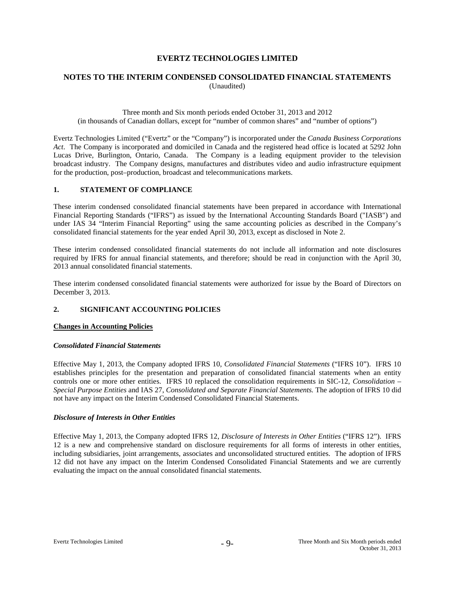# **NOTES TO THE INTERIM CONDENSED CONSOLIDATED FINANCIAL STATEMENTS** (Unaudited)

#### Three month and Six month periods ended October 31, 2013 and 2012 (in thousands of Canadian dollars, except for "number of common shares" and "number of options")

Evertz Technologies Limited ("Evertz" or the "Company") is incorporated under the *Canada Business Corporations Act*. The Company is incorporated and domiciled in Canada and the registered head office is located at 5292 John Lucas Drive, Burlington, Ontario, Canada. The Company is a leading equipment provider to the television broadcast industry. The Company designs, manufactures and distributes video and audio infrastructure equipment for the production, post–production, broadcast and telecommunications markets.

#### **1. STATEMENT OF COMPLIANCE**

These interim condensed consolidated financial statements have been prepared in accordance with International Financial Reporting Standards ("IFRS") as issued by the International Accounting Standards Board ("IASB") and under IAS 34 "Interim Financial Reporting" using the same accounting policies as described in the Company's consolidated financial statements for the year ended April 30, 2013, except as disclosed in Note 2.

These interim condensed consolidated financial statements do not include all information and note disclosures required by IFRS for annual financial statements, and therefore; should be read in conjunction with the April 30, 2013 annual consolidated financial statements.

These interim condensed consolidated financial statements were authorized for issue by the Board of Directors on December 3, 2013.

## **2. SIGNIFICANT ACCOUNTING POLICIES**

#### **Changes in Accounting Policies**

#### *Consolidated Financial Statements*

Effective May 1, 2013, the Company adopted IFRS 10, *Consolidated Financial Statements* ("IFRS 10"). IFRS 10 establishes principles for the presentation and preparation of consolidated financial statements when an entity controls one or more other entities. IFRS 10 replaced the consolidation requirements in SIC-12, *Consolidation – Special Purpose Entities* and IAS 27, *Consolidated and Separate Financial Statements.* The adoption of IFRS 10 did not have any impact on the Interim Condensed Consolidated Financial Statements.

#### *Disclosure of Interests in Other Entities*

Effective May 1, 2013, the Company adopted IFRS 12, *Disclosure of Interests in Other Entities* ("IFRS 12"). IFRS 12 is a new and comprehensive standard on disclosure requirements for all forms of interests in other entities, including subsidiaries, joint arrangements, associates and unconsolidated structured entities. The adoption of IFRS 12 did not have any impact on the Interim Condensed Consolidated Financial Statements and we are currently evaluating the impact on the annual consolidated financial statements.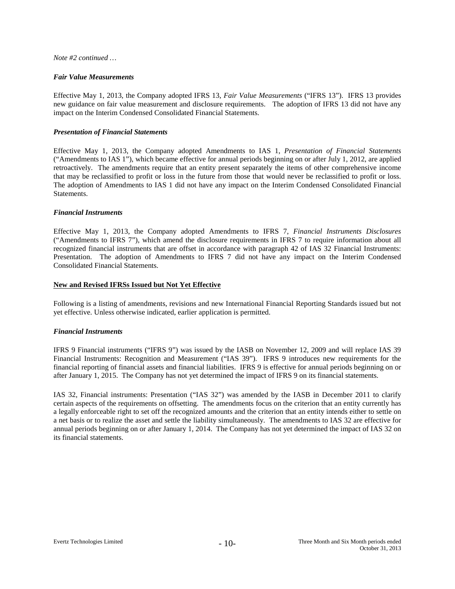#### *Note #2 continued …*

#### *Fair Value Measurements*

Effective May 1, 2013, the Company adopted IFRS 13, *Fair Value Measurements* ("IFRS 13"). IFRS 13 provides new guidance on fair value measurement and disclosure requirements. The adoption of IFRS 13 did not have any impact on the Interim Condensed Consolidated Financial Statements.

#### *Presentation of Financial Statements*

Effective May 1, 2013, the Company adopted Amendments to IAS 1, *Presentation of Financial Statements*  ("Amendments to IAS 1"), which became effective for annual periods beginning on or after July 1, 2012, are applied retroactively. The amendments require that an entity present separately the items of other comprehensive income that may be reclassified to profit or loss in the future from those that would never be reclassified to profit or loss. The adoption of Amendments to IAS 1 did not have any impact on the Interim Condensed Consolidated Financial Statements.

#### *Financial Instruments*

Effective May 1, 2013, the Company adopted Amendments to IFRS 7, *Financial Instruments Disclosures* ("Amendments to IFRS 7"), which amend the disclosure requirements in IFRS 7 to require information about all recognized financial instruments that are offset in accordance with paragraph 42 of IAS 32 Financial Instruments: Presentation. The adoption of Amendments to IFRS 7 did not have any impact on the Interim Condensed Consolidated Financial Statements.

#### **New and Revised IFRSs Issued but Not Yet Effective**

Following is a listing of amendments, revisions and new International Financial Reporting Standards issued but not yet effective. Unless otherwise indicated, earlier application is permitted.

#### *Financial Instruments*

IFRS 9 Financial instruments ("IFRS 9") was issued by the IASB on November 12, 2009 and will replace IAS 39 Financial Instruments: Recognition and Measurement ("IAS 39"). IFRS 9 introduces new requirements for the financial reporting of financial assets and financial liabilities. IFRS 9 is effective for annual periods beginning on or after January 1, 2015. The Company has not yet determined the impact of IFRS 9 on its financial statements.

IAS 32, Financial instruments: Presentation ("IAS 32") was amended by the IASB in December 2011 to clarify certain aspects of the requirements on offsetting. The amendments focus on the criterion that an entity currently has a legally enforceable right to set off the recognized amounts and the criterion that an entity intends either to settle on a net basis or to realize the asset and settle the liability simultaneously. The amendments to IAS 32 are effective for annual periods beginning on or after January 1, 2014. The Company has not yet determined the impact of IAS 32 on its financial statements.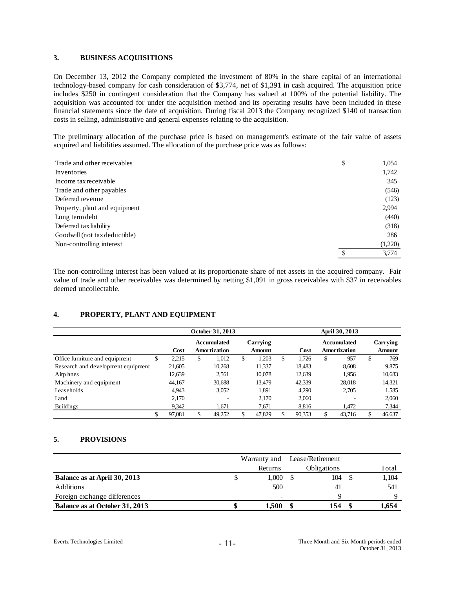#### **3. BUSINESS ACQUISITIONS**

On December 13, 2012 the Company completed the investment of 80% in the share capital of an international technology-based company for cash consideration of \$3,774, net of \$1,391 in cash acquired. The acquisition price includes \$250 in contingent consideration that the Company has valued at 100% of the potential liability. The acquisition was accounted for under the acquisition method and its operating results have been included in these financial statements since the date of acquisition. During fiscal 2013 the Company recognized \$140 of transaction costs in selling, administrative and general expenses relating to the acquisition.

The preliminary allocation of the purchase price is based on management's estimate of the fair value of assets acquired and liabilities assumed. The allocation of the purchase price was as follows:

| Trade and other receivables   | \$<br>1,054 |
|-------------------------------|-------------|
| Inventories                   | 1,742       |
| Income tax receivable         | 345         |
| Trade and other payables      | (546)       |
| Deferred revenue              | (123)       |
| Property, plant and equipment | 2,994       |
| Long term debt                | (440)       |
| Deferred tax liability        | (318)       |
| Goodwill (not tax deductible) | 286         |
| Non-controlling interest      | (1,220)     |
|                               | 3,774       |

The non-controlling interest has been valued at its proportionate share of net assets in the acquired company. Fair value of trade and other receivables was determined by netting \$1,091 in gross receivables with \$37 in receivables deemed uncollectable.

## **4. PROPERTY, PLANT AND EQUIPMENT**

|                                    |    |        | October 31, 2013 |                             |    |                           |    |        | April 30, 2013 |                             |    |                    |  |  |  |
|------------------------------------|----|--------|------------------|-----------------------------|----|---------------------------|----|--------|----------------|-----------------------------|----|--------------------|--|--|--|
|                                    |    | Cost   |                  | Accumulated<br>Amortization |    | Carrying<br><b>Amount</b> |    | Cost   |                | Accumulated<br>Amortization |    | Carrying<br>Amount |  |  |  |
| Office furniture and equipment     | S  | 2,215  | \$               | 1,012                       | \$ | 1,203                     | \$ | 1.726  | \$             | 957                         | \$ | 769                |  |  |  |
| Research and development equipment |    | 21,605 |                  | 10,268                      |    | 11,337                    |    | 18,483 |                | 8,608                       |    | 9,875              |  |  |  |
| Airplanes                          |    | 12,639 |                  | 2.561                       |    | 10.078                    |    | 12,639 |                | 1.956                       |    | 10,683             |  |  |  |
| Machinery and equipment            |    | 44,167 |                  | 30,688                      |    | 13.479                    |    | 42,339 |                | 28,018                      |    | 14,321             |  |  |  |
| Leaseholds                         |    | 4.943  |                  | 3,052                       |    | 1,891                     |    | 4,290  |                | 2,705                       |    | 1,585              |  |  |  |
| Land                               |    | 2,170  |                  | $\overline{\phantom{a}}$    |    | 2,170                     |    | 2,060  |                |                             |    | 2,060              |  |  |  |
| <b>Buildings</b>                   |    | 9.342  |                  | 1.671                       |    | 7,671                     |    | 8.816  |                | 1.472                       |    | 7,344              |  |  |  |
|                                    | \$ | 97.081 | \$               | 49,252                      | S  | 47,829                    |    | 90,353 | \$             | 43.716                      | \$ | 46,637             |  |  |  |

## **5. PROVISIONS**

|                                | Warranty and             | Lease/Retirement |       |
|--------------------------------|--------------------------|------------------|-------|
|                                | Returns                  | Obligations      | Total |
| Balance as at April 30, 2013   | 1.000                    | 104              | 1.104 |
| Additions                      | 500                      | $\overline{4}$   | 541   |
| Foreign exchange differences   | $\overline{\phantom{0}}$ |                  |       |
| Balance as at October 31, 2013 | 1.500                    | 154              | 1.654 |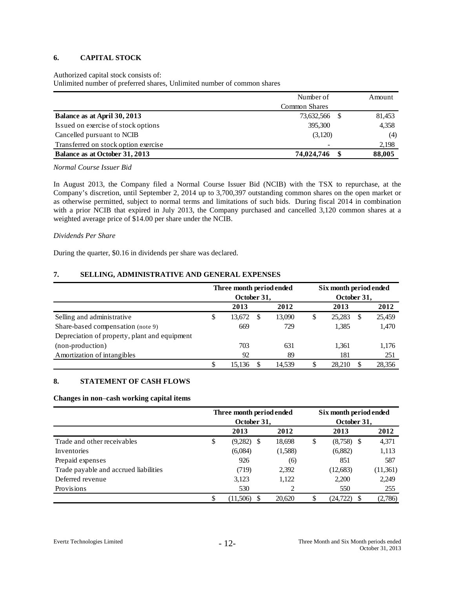# **6. CAPITAL STOCK**

#### Authorized capital stock consists of:

Unlimited number of preferred shares, Unlimited number of common shares

|                                      | Number of            | Amount |
|--------------------------------------|----------------------|--------|
|                                      | <b>Common Shares</b> |        |
| Balance as at April 30, 2013         | 73,632,566           | 81,453 |
| Issued on exercise of stock options  | 395,300              | 4,358  |
| Cancelled pursuant to NCIB           | (3,120)              | (4)    |
| Transferred on stock option exercise |                      | 2,198  |
| Balance as at October 31, 2013       | 74,024,746           | 88,005 |

*Normal Course Issuer Bid*

In August 2013, the Company filed a Normal Course Issuer Bid (NCIB) with the TSX to repurchase, at the Company's discretion, until September 2, 2014 up to 3,700,397 outstanding common shares on the open market or as otherwise permitted, subject to normal terms and limitations of such bids. During fiscal 2014 in combination with a prior NCIB that expired in July 2013, the Company purchased and cancelled 3,120 common shares at a weighted average price of \$14.00 per share under the NCIB.

#### *Dividends Per Share*

During the quarter, \$0.16 in dividends per share was declared.

# **7. SELLING, ADMINISTRATIVE AND GENERAL EXPENSES**

|                                               |   | Three month period ended |          |        | Six month period ended |        |   |        |  |  |
|-----------------------------------------------|---|--------------------------|----------|--------|------------------------|--------|---|--------|--|--|
|                                               |   | October 31,              |          |        | October 31,            |        |   |        |  |  |
|                                               |   | 2013                     |          | 2012   |                        | 2013   |   | 2012   |  |  |
| Selling and administrative                    | S | 13,672                   | <b>S</b> | 13,090 | \$                     | 25,283 | S | 25,459 |  |  |
| Share-based compensation (note 9)             |   | 669                      |          | 729    |                        | 1,385  |   | 1,470  |  |  |
| Depreciation of property, plant and equipment |   |                          |          |        |                        |        |   |        |  |  |
| (non-production)                              |   | 703                      |          | 631    |                        | 1.361  |   | 1,176  |  |  |
| Amortization of intangibles                   |   | 92                       |          | 89     |                        | 181    |   | 251    |  |  |
|                                               | S | 15.136                   |          | 14.539 | S                      | 28.210 |   | 28,356 |  |  |

# **8. STATEMENT OF CASH FLOWS**

#### **Changes in non**–**cash working capital items**

|                                       |                    | Three month period ended<br>Six month period ended |    |              |          |
|---------------------------------------|--------------------|----------------------------------------------------|----|--------------|----------|
|                                       | October 31,        |                                                    |    | October 31,  |          |
|                                       | 2013               | 2012                                               |    | 2013         | 2012     |
| Trade and other receivables           | \$<br>$(9,282)$ \$ | 18,698                                             | \$ | $(8,758)$ \$ | 4,371    |
| Inventories                           | (6,084)            | (1,588)                                            |    | (6,882)      | 1,113    |
| Prepaid expenses                      | 926                | (6)                                                |    | 851          | 587      |
| Trade payable and accrued liabilities | (719)              | 2,392                                              |    | (12, 683)    | (11,361) |
| Deferred revenue                      | 3,123              | 1,122                                              |    | 2,200        | 2,249    |
| Provisions                            | 530                |                                                    |    | 550          | 255      |
|                                       | \$<br>(11.506)     | 20,620                                             | S  | (24.722)     | (2,786)  |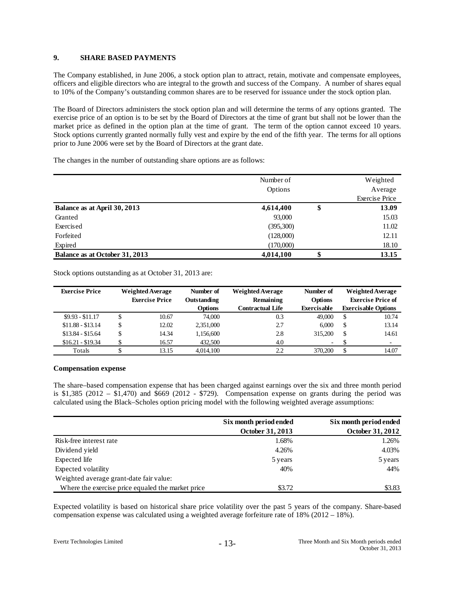# **9. SHARE BASED PAYMENTS**

The Company established, in June 2006, a stock option plan to attract, retain, motivate and compensate employees, officers and eligible directors who are integral to the growth and success of the Company. A number of shares equal to 10% of the Company's outstanding common shares are to be reserved for issuance under the stock option plan.

The Board of Directors administers the stock option plan and will determine the terms of any options granted. The exercise price of an option is to be set by the Board of Directors at the time of grant but shall not be lower than the market price as defined in the option plan at the time of grant. The term of the option cannot exceed 10 years. Stock options currently granted normally fully vest and expire by the end of the fifth year. The terms for all options prior to June 2006 were set by the Board of Directors at the grant date.

The changes in the number of outstanding share options are as follows:

|                                | Number of<br>Options |        | Weighted<br>Average   |
|--------------------------------|----------------------|--------|-----------------------|
|                                |                      |        | <b>Exercise Price</b> |
| Balance as at April 30, 2013   | 4,614,400            | \$     | 13.09                 |
| Granted                        | 93,000               |        | 15.03                 |
| Exercised                      | (395,300)            |        | 11.02                 |
| Forfeited                      | (128,000)            |        | 12.11                 |
| Expired                        | (170,000)            |        | 18.10                 |
| Balance as at October 31, 2013 | 4,014,100            | Ⴛ<br>D | 13.15                 |

Stock options outstanding as at October 31, 2013 are:

| <b>Exercise Price</b> | <b>Weighted Average</b> |       |                |                         | Number of                | <b>Weighted Average</b>  | Number of                  |  | <b>Weighted Average</b> |
|-----------------------|-------------------------|-------|----------------|-------------------------|--------------------------|--------------------------|----------------------------|--|-------------------------|
|                       | <b>Exercise Price</b>   |       | Outstanding    | Remaining               | <b>Options</b>           | <b>Exercise Price of</b> |                            |  |                         |
|                       |                         |       | <b>Options</b> | <b>Contractual Life</b> | <b>Exercisable</b>       |                          | <b>Exercisable Options</b> |  |                         |
| $$9.93 - $11.17$      | \$                      | 10.67 | 74,000         | 0.3                     | 49,000                   | \$                       | 10.74                      |  |                         |
| $$11.88 - $13.14$     | \$                      | 12.02 | 2,351,000      | 2.7                     | 6.000                    | \$                       | 13.14                      |  |                         |
| $$13.84 - $15.64$     | \$                      | 14.34 | 1,156,600      | 2.8                     | 315,200                  | \$                       | 14.61                      |  |                         |
| $$16.21 - $19.34$     | \$                      | 16.57 | 432,500        | 4.0                     | $\overline{\phantom{a}}$ |                          | $\overline{\phantom{a}}$   |  |                         |
| Totals                |                         | 13.15 | 4.014.100      | 2.2                     | 370,200                  | \$                       | 14.07                      |  |                         |

## **Compensation expense**

The share–based compensation expense that has been charged against earnings over the six and three month period is  $$1,385$  (2012 –  $$1,470$ ) and  $$669$  (2012 -  $$729$ ). Compensation expense on grants during the period was calculated using the Black–Scholes option pricing model with the following weighted average assumptions:

|                                                   | Six month period ended  | Six month period ended |
|---------------------------------------------------|-------------------------|------------------------|
|                                                   | <b>October 31, 2013</b> | October 31, 2012       |
| Risk-free interest rate                           | 1.68%                   | 1.26%                  |
| Dividend yield                                    | 4.26%                   | 4.03%                  |
| Expected life                                     | 5 years                 | 5 years                |
| Expected volatility                               | 40%                     | 44%                    |
| Weighted average grant-date fair value:           |                         |                        |
| Where the exercise price equaled the market price | \$3.72                  | \$3.83                 |

Expected volatility is based on historical share price volatility over the past 5 years of the company. Share-based compensation expense was calculated using a weighted average forfeiture rate of 18% (2012 – 18%).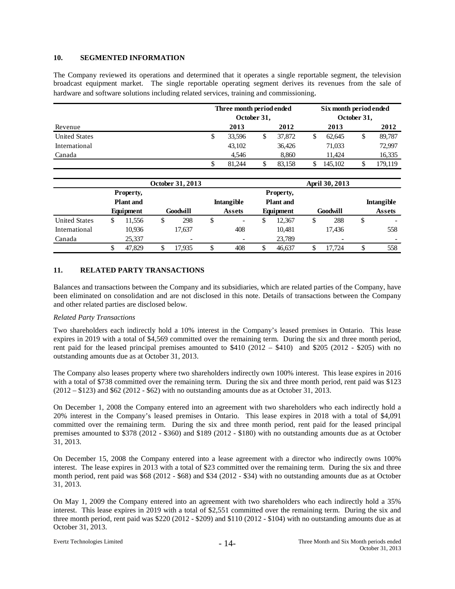# **10. SEGMENTED INFORMATION**

The Company reviewed its operations and determined that it operates a single reportable segment, the television broadcast equipment market. The single reportable operating segment derives its revenues from the sale of hardware and software solutions including related services, training and commissioning.

|                      | Three month period ended<br>October 31, |        |  |        |   | Six month period ended<br>October 31, |    |         |  |
|----------------------|-----------------------------------------|--------|--|--------|---|---------------------------------------|----|---------|--|
| Revenue              |                                         | 2013   |  | 2012   |   | 2013                                  |    | 2012    |  |
| <b>United States</b> | \$                                      | 33,596 |  | 37,872 | S | 62.645                                | \$ | 89,787  |  |
| International        |                                         | 43,102 |  | 36,426 |   | 71.033                                |    | 72,997  |  |
| Canada               |                                         | 4.546  |  | 8.860  |   | 11.424                                |    | 16,335  |  |
|                      | \$                                      | 81.244 |  | 83.158 |   | 145.102                               |    | 179.119 |  |

|                      |                               |           |   | October 31, 2013  |        |                          | April 30, 2013                |           |    |          |    |                   |
|----------------------|-------------------------------|-----------|---|-------------------|--------|--------------------------|-------------------------------|-----------|----|----------|----|-------------------|
|                      | Property,<br><b>Plant</b> and |           |   | <b>Intangible</b> |        |                          | Property,<br><b>Plant</b> and |           |    |          |    | <b>Intangible</b> |
|                      |                               | Equipment |   | Goodwill          |        | <b>Assets</b>            |                               | Equipment |    | Goodwill |    | <b>Assets</b>     |
| <b>United States</b> | \$                            | 11,556    | S | 298               | ¢<br>⊅ | $\overline{\phantom{a}}$ |                               | 12,367    | \$ | 288      | \$ |                   |
| International        |                               | 10,936    |   | 17.637            |        | 408                      |                               | 10,481    |    | 17.436   |    | 558               |
| Canada               |                               | 25,337    |   | -                 |        |                          |                               | 23,789    |    |          |    | -                 |
|                      | \$                            | 47.829    |   | 17.935            | J      | 408                      |                               | 46.637    | D  | 17.724   | \$ | 558               |

# **11. RELATED PARTY TRANSACTIONS**

Balances and transactions between the Company and its subsidiaries, which are related parties of the Company, have been eliminated on consolidation and are not disclosed in this note. Details of transactions between the Company and other related parties are disclosed below.

#### *Related Party Transactions*

Two shareholders each indirectly hold a 10% interest in the Company's leased premises in Ontario. This lease expires in 2019 with a total of \$4,569 committed over the remaining term. During the six and three month period, rent paid for the leased principal premises amounted to  $$410 (2012 - $410)$  and  $$205 (2012 - $205)$  with no outstanding amounts due as at October 31, 2013.

The Company also leases property where two shareholders indirectly own 100% interest. This lease expires in 2016 with a total of \$738 committed over the remaining term. During the six and three month period, rent paid was \$123 (2012 – \$123) and \$62 (2012 - \$62) with no outstanding amounts due as at October 31, 2013.

On December 1, 2008 the Company entered into an agreement with two shareholders who each indirectly hold a 20% interest in the Company's leased premises in Ontario. This lease expires in 2018 with a total of \$4,091 committed over the remaining term. During the six and three month period, rent paid for the leased principal premises amounted to \$378 (2012 - \$360) and \$189 (2012 - \$180) with no outstanding amounts due as at October 31, 2013.

On December 15, 2008 the Company entered into a lease agreement with a director who indirectly owns 100% interest. The lease expires in 2013 with a total of \$23 committed over the remaining term. During the six and three month period, rent paid was \$68 (2012 - \$68) and \$34 (2012 - \$34) with no outstanding amounts due as at October 31, 2013.

On May 1, 2009 the Company entered into an agreement with two shareholders who each indirectly hold a 35% interest. This lease expires in 2019 with a total of \$2,551 committed over the remaining term. During the six and three month period, rent paid was \$220 (2012 - \$209) and \$110 (2012 - \$104) with no outstanding amounts due as at October 31, 2013.